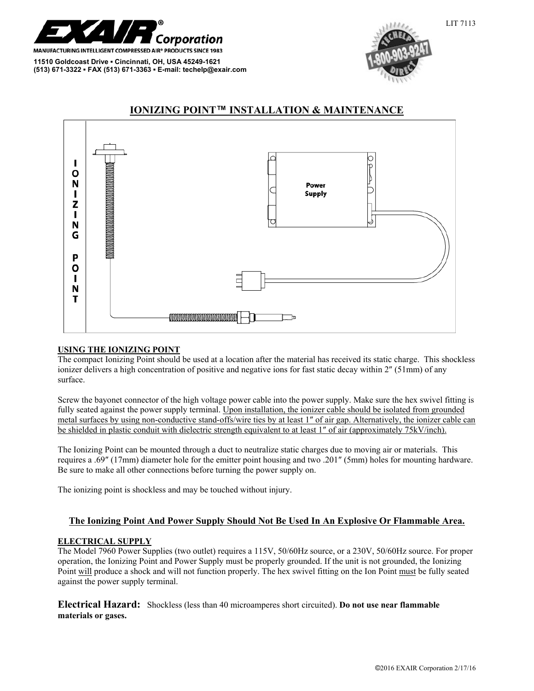

**11510 Goldcoast Drive ▪ Cincinnati, OH, USA 45249-1621 (513) 671-3322 ▪ FAX (513) 671-3363 ▪ E-mail: techelp@exair.com** 





# **IONIZING POINT™ INSTALLATION & MAINTENANCE**

## **USING THE IONIZING POINT**

The compact Ionizing Point should be used at a location after the material has received its static charge. This shockless ionizer delivers a high concentration of positive and negative ions for fast static decay within 2″ (51mm) of any surface.

Screw the bayonet connector of the high voltage power cable into the power supply. Make sure the hex swivel fitting is fully seated against the power supply terminal. Upon installation, the ionizer cable should be isolated from grounded metal surfaces by using non-conductive stand-offs/wire ties by at least 1″ of air gap. Alternatively, the ionizer cable can be shielded in plastic conduit with dielectric strength equivalent to at least 1″ of air (approximately 75kV/inch).

The Ionizing Point can be mounted through a duct to neutralize static charges due to moving air or materials. This requires a .69″ (17mm) diameter hole for the emitter point housing and two .201″ (5mm) holes for mounting hardware. Be sure to make all other connections before turning the power supply on.

The ionizing point is shockless and may be touched without injury.

## **The Ionizing Point And Power Supply Should Not Be Used In An Explosive Or Flammable Area.**

## **ELECTRICAL SUPPLY**

The Model 7960 Power Supplies (two outlet) requires a 115V, 50/60Hz source, or a 230V, 50/60Hz source. For proper operation, the Ionizing Point and Power Supply must be properly grounded. If the unit is not grounded, the Ionizing Point will produce a shock and will not function properly. The hex swivel fitting on the Ion Point must be fully seated against the power supply terminal.

**Electrical Hazard:** Shockless (less than 40 microamperes short circuited). **Do not use near flammable materials or gases.**

LIT 7113